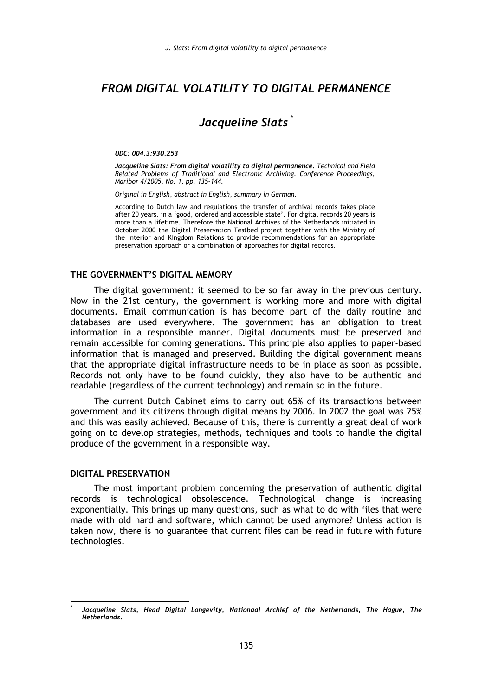# FROM DIGITAL VOLATILITY TO DIGITAL PERMANENCE

# Jacqueline Slats<sup>\*</sup>

#### UDC: 004.3:930.253

Jacqueline Slats: From digital volatility to digital permanence. Technical and Field Related Problems of Traditional and Electronic Archiving. Conference Proceedings, Maribor 4/2005, No. 1, pp. 135-144.

Original in English, abstract in English, summary in German.

According to Dutch law and regulations the transfer of archival records takes place after 20 years, in a 'good, ordered and accessible state'. For digital records 20 years is more than a lifetime. Therefore the National Archives of the Netherlands initiated in October 2000 the Digital Preservation Testbed project together with the Ministry of the Interior and Kingdom Relations to provide recommendations for an appropriate preservation approach or a combination of approaches for digital records.

#### THE GOVERNMENT'S DIGITAL MEMORY

The digital government: it seemed to be so far away in the previous century. Now in the 21st century, the government is working more and more with digital documents. Email communication is has become part of the daily routine and databases are used everywhere. The government has an obligation to treat information in a responsible manner. Digital documents must be preserved and remain accessible for coming generations. This principle also applies to paper-based information that is managed and preserved. Building the digital government means that the appropriate digital infrastructure needs to be in place as soon as possible. Records not only have to be found quickly, they also have to be authentic and readable (regardless of the current technology) and remain so in the future.

The current Dutch Cabinet aims to carry out 65% of its transactions between government and its citizens through digital means by 2006. In 2002 the goal was 25% and this was easily achieved. Because of this, there is currently a great deal of work going on to develop strategies, methods, techniques and tools to handle the digital produce of the government in a responsible way.

#### **DIGITAL PRESERVATION**

The most important problem concerning the preservation of authentic digital records is technological obsolescence. Technological change is increasing exponentially. This brings up many questions, such as what to do with files that were made with old hard and software, which cannot be used anymore? Unless action is taken now, there is no guarantee that current files can be read in future with future technologies.

Jacqueline Slats, Head Digital Longevity, Nationaal Archief of the Netherlands, The Hague, The Netherlands.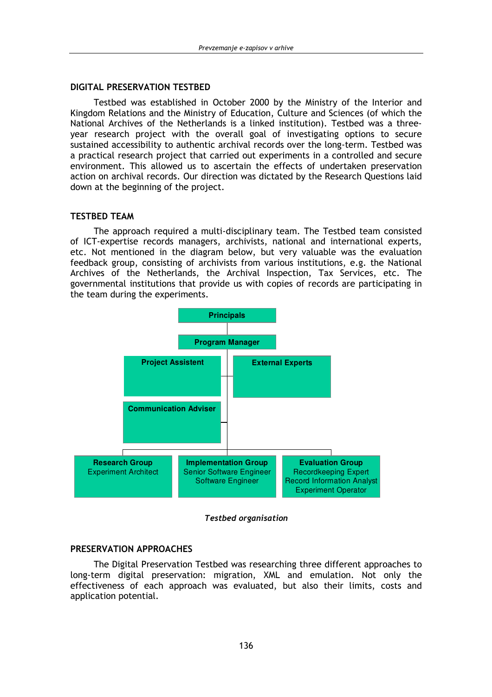### **DIGITAL PRESERVATION TESTBED**

Testbed was established in October 2000 by the Ministry of the Interior and Kingdom Relations and the Ministry of Education, Culture and Sciences (of which the National Archives of the Netherlands is a linked institution). Testbed was a threevear research project with the overall goal of investigating options to secure sustained accessibility to authentic archival records over the long-term. Testbed was a practical research project that carried out experiments in a controlled and secure environment. This allowed us to ascertain the effects of undertaken preservation action on archival records. Our direction was dictated by the Research Questions laid down at the beginning of the project.

### **TESTBED TEAM**

The approach required a multi-disciplinary team. The Testbed team consisted of ICT-expertise records managers, archivists, national and international experts, etc. Not mentioned in the diagram below, but very valuable was the evaluation feedback group, consisting of archivists from various institutions, e.g. the National Archives of the Netherlands, the Archival Inspection, Tax Services, etc. The governmental institutions that provide us with copies of records are participating in the team during the experiments.



### **Testbed organisation**

## PRESERVATION APPROACHES

The Digital Preservation Testbed was researching three different approaches to long-term digital preservation: migration, XML and emulation. Not only the effectiveness of each approach was evaluated, but also their limits, costs and application potential.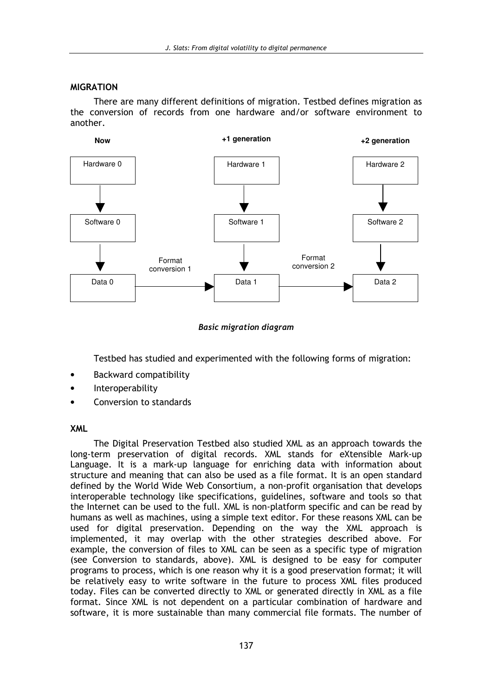## **MIGRATION**

There are many different definitions of migration. Testbed defines migration as the conversion of records from one hardware and/or software environment to another.



## **Basic migration diagram**

Testbed has studied and experimented with the following forms of migration:

- **Backward compatibility**
- Interoperability
- Conversion to standards

## **XML**

The Digital Preservation Testbed also studied XML as an approach towards the long-term preservation of digital records. XML stands for eXtensible Mark-up Language. It is a mark-up language for enriching data with information about structure and meaning that can also be used as a file format. It is an open standard defined by the World Wide Web Consortium, a non-profit organisation that develops interoperable technology like specifications, guidelines, software and tools so that the Internet can be used to the full. XML is non-platform specific and can be read by humans as well as machines, using a simple text editor. For these reasons XML can be used for digital preservation. Depending on the way the XML approach is implemented, it may overlap with the other strategies described above. For example, the conversion of files to XML can be seen as a specific type of migration (see Conversion to standards, above). XML is designed to be easy for computer programs to process, which is one reason why it is a good preservation format; it will be relatively easy to write software in the future to process XML files produced today. Files can be converted directly to XML or generated directly in XML as a file format. Since XML is not dependent on a particular combination of hardware and software, it is more sustainable than many commercial file formats. The number of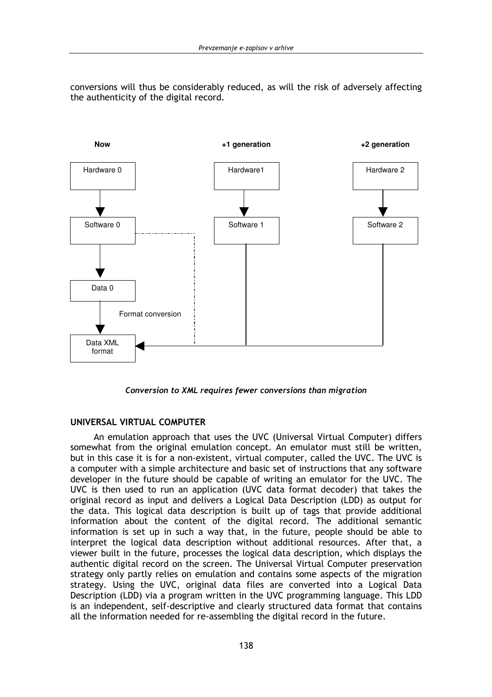conversions will thus be considerably reduced, as will the risk of adversely affecting the authenticity of the digital record.



Conversion to XML requires fewer conversions than migration

## UNIVERSAL VIRTUAL COMPUTER

An emulation approach that uses the UVC (Universal Virtual Computer) differs somewhat from the original emulation concept. An emulator must still be written, but in this case it is for a non-existent, virtual computer, called the UVC. The UVC is a computer with a simple architecture and basic set of instructions that any software developer in the future should be capable of writing an emulator for the UVC. The UVC is then used to run an application (UVC data format decoder) that takes the original record as input and delivers a Logical Data Description (LDD) as output for the data. This logical data description is built up of tags that provide additional information about the content of the digital record. The additional semantic information is set up in such a way that, in the future, people should be able to interpret the logical data description without additional resources. After that, a viewer built in the future, processes the logical data description, which displays the authentic digital record on the screen. The Universal Virtual Computer preservation strategy only partly relies on emulation and contains some aspects of the migration strategy. Using the UVC, original data files are converted into a Logical Data Description (LDD) via a program written in the UVC programming language. This LDD is an independent, self-descriptive and clearly structured data format that contains all the information needed for re-assembling the digital record in the future.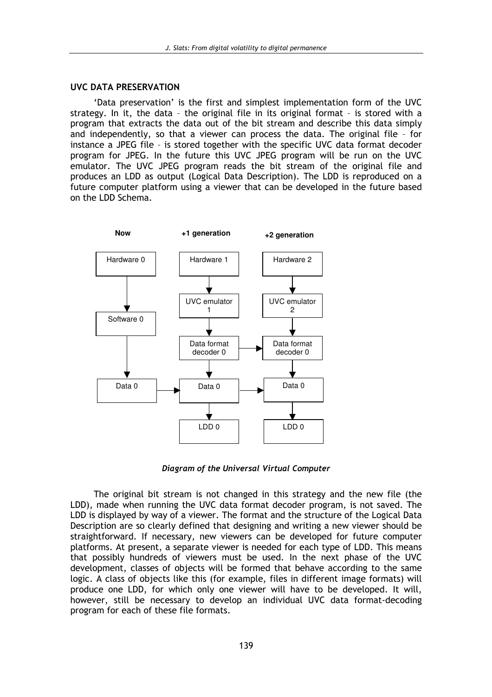#### **UVC DATA PRESERVATION**

'Data preservation' is the first and simplest implementation form of the UVC strategy. In it, the data - the original file in its original format - is stored with a program that extracts the data out of the bit stream and describe this data simply and independently, so that a viewer can process the data. The original file - for instance a JPEG file - is stored together with the specific UVC data format decoder program for JPEG. In the future this UVC JPEG program will be run on the UVC emulator. The UVC JPEG program reads the bit stream of the original file and produces an LDD as output (Logical Data Description). The LDD is reproduced on a future computer platform using a viewer that can be developed in the future based on the LDD Schema.



Diagram of the Universal Virtual Computer

The original bit stream is not changed in this strategy and the new file (the LDD), made when running the UVC data format decoder program, is not saved. The LDD is displayed by way of a viewer. The format and the structure of the Logical Data Description are so clearly defined that designing and writing a new viewer should be straightforward. If necessary, new viewers can be developed for future computer platforms. At present, a separate viewer is needed for each type of LDD. This means that possibly hundreds of viewers must be used. In the next phase of the UVC development, classes of objects will be formed that behave according to the same logic. A class of objects like this (for example, files in different image formats) will produce one LDD, for which only one viewer will have to be developed. It will, however, still be necessary to develop an individual UVC data format-decoding program for each of these file formats.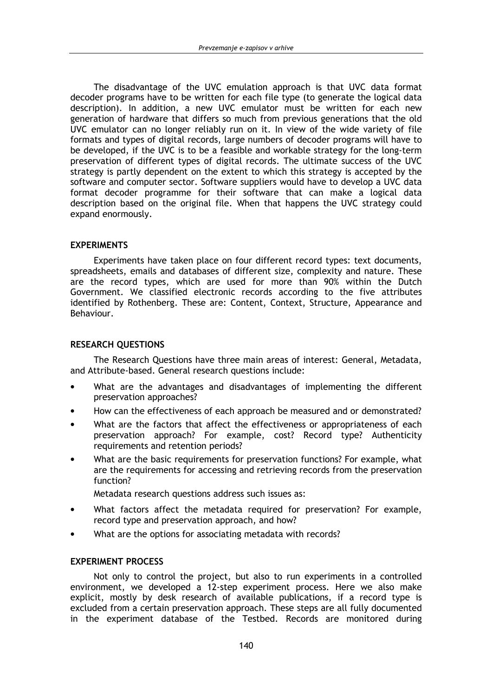The disadvantage of the UVC emulation approach is that UVC data format decoder programs have to be written for each file type (to generate the logical data description). In addition, a new UVC emulator must be written for each new generation of hardware that differs so much from previous generations that the old UVC emulator can no longer reliably run on it. In view of the wide variety of file formats and types of digital records, large numbers of decoder programs will have to be developed, if the UVC is to be a feasible and workable strategy for the long-term preservation of different types of digital records. The ultimate success of the UVC strategy is partly dependent on the extent to which this strategy is accepted by the software and computer sector. Software suppliers would have to develop a UVC data format decoder programme for their software that can make a logical data description based on the original file. When that happens the UVC strategy could expand enormously.

### **EXPERIMENTS**

Experiments have taken place on four different record types: text documents, spreadsheets, emails and databases of different size, complexity and nature. These are the record types, which are used for more than 90% within the Dutch Government. We classified electronic records according to the five attributes identified by Rothenberg. These are: Content, Context, Structure, Appearance and Behaviour.

### **RESEARCH QUESTIONS**

The Research Questions have three main areas of interest: General, Metadata, and Attribute-based. General research questions include:

- What are the advantages and disadvantages of implementing the different preservation approaches?
- How can the effectiveness of each approach be measured and or demonstrated?
- What are the factors that affect the effectiveness or appropriateness of each preservation approach? For example, cost? Record type? Authenticity requirements and retention periods?
- What are the basic requirements for preservation functions? For example, what are the requirements for accessing and retrieving records from the preservation function?

Metadata research questions address such issues as:

- What factors affect the metadata required for preservation? For example, record type and preservation approach, and how?
- What are the options for associating metadata with records?

### **EXPERIMENT PROCESS**

Not only to control the project, but also to run experiments in a controlled environment, we developed a 12-step experiment process. Here we also make explicit, mostly by desk research of available publications, if a record type is excluded from a certain preservation approach. These steps are all fully documented in the experiment database of the Testbed. Records are monitored during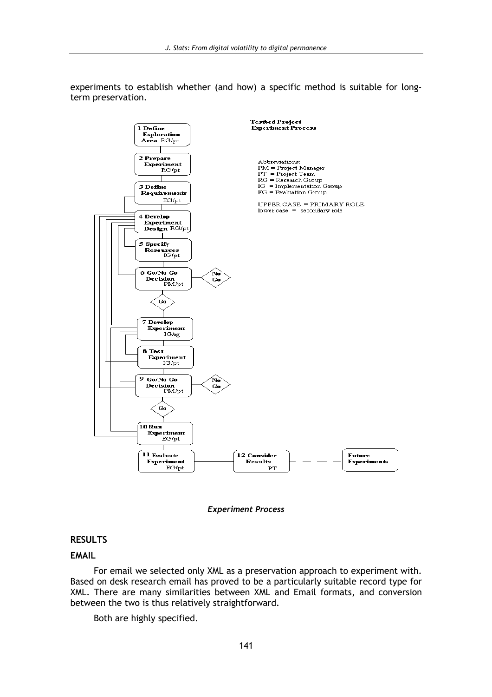experiments to establish whether (and how) a specific method is suitable for longterm preservation.





### **RESULTS**

#### **EMAIL**

For email we selected only XML as a preservation approach to experiment with. Based on desk research email has proved to be a particularly suitable record type for XML. There are many similarities between XML and Email formats, and conversion between the two is thus relatively straightforward.

Both are highly specified.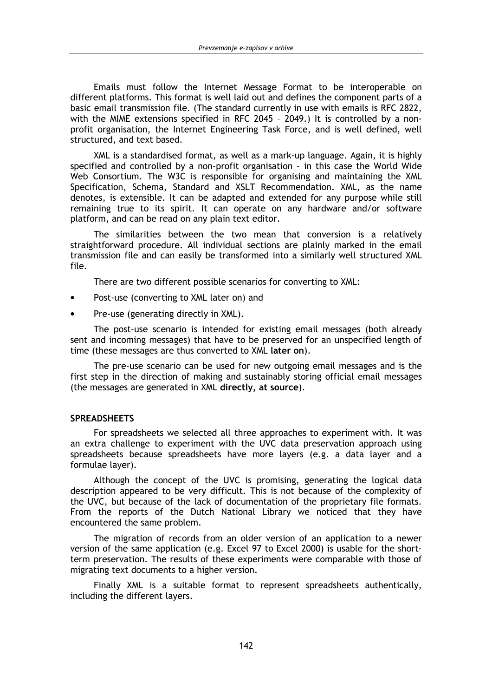Emails must follow the Internet Message Format to be interoperable on different platforms. This format is well laid out and defines the component parts of a basic email transmission file. (The standard currently in use with emails is RFC 2822, with the MIME extensions specified in RFC 2045 - 2049.) It is controlled by a nonprofit organisation, the Internet Engineering Task Force, and is well defined, well structured, and text based.

XML is a standardised format, as well as a mark-up language. Again, it is highly specified and controlled by a non-profit organisation - in this case the World Wide Web Consortium. The W3C is responsible for organising and maintaining the XML Specification, Schema, Standard and XSLT Recommendation. XML, as the name denotes, is extensible. It can be adapted and extended for any purpose while still remaining true to its spirit. It can operate on any hardware and/or software platform, and can be read on any plain text editor.

The similarities between the two mean that conversion is a relatively straightforward procedure. All individual sections are plainly marked in the email transmission file and can easily be transformed into a similarly well structured XML file.

There are two different possible scenarios for converting to XML:

- Post-use (converting to XML later on) and
- Pre-use (generating directly in XML).

The post-use scenario is intended for existing email messages (both already sent and incoming messages) that have to be preserved for an unspecified length of time (these messages are thus converted to XML later on).

The pre-use scenario can be used for new outgoing email messages and is the first step in the direction of making and sustainably storing official email messages (the messages are generated in XML directly, at source).

#### **SPREADSHEETS**

For spreadsheets we selected all three approaches to experiment with. It was an extra challenge to experiment with the UVC data preservation approach using spreadsheets because spreadsheets have more layers (e.g. a data layer and a formulae layer).

Although the concept of the UVC is promising, generating the logical data description appeared to be very difficult. This is not because of the complexity of the UVC, but because of the lack of documentation of the proprietary file formats. From the reports of the Dutch National Library we noticed that they have encountered the same problem.

The migration of records from an older version of an application to a newer version of the same application (e.g. Excel 97 to Excel 2000) is usable for the shortterm preservation. The results of these experiments were comparable with those of migrating text documents to a higher version.

Finally XML is a suitable format to represent spreadsheets authentically, including the different lavers.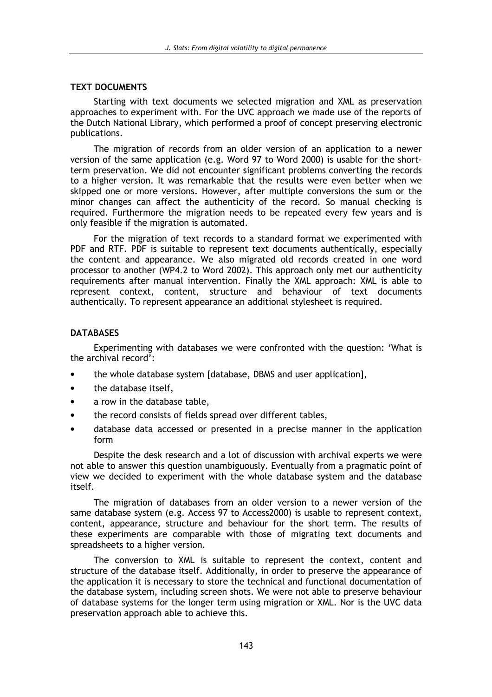### **TEXT DOCUMENTS**

Starting with text documents we selected migration and XML as preservation approaches to experiment with. For the UVC approach we made use of the reports of the Dutch National Library, which performed a proof of concept preserving electronic publications.

The migration of records from an older version of an application to a newer version of the same application (e.g. Word 97 to Word 2000) is usable for the shortterm preservation. We did not encounter significant problems converting the records to a higher version. It was remarkable that the results were even better when we skipped one or more versions. However, after multiple conversions the sum or the minor changes can affect the authenticity of the record. So manual checking is required. Furthermore the migration needs to be repeated every few years and is only feasible if the migration is automated.

For the migration of text records to a standard format we experimented with PDF and RTF. PDF is suitable to represent text documents authentically, especially the content and appearance. We also migrated old records created in one word processor to another (WP4.2 to Word 2002). This approach only met our authenticity requirements after manual intervention. Finally the XML approach: XML is able to represent context, content, structure and behaviour of text documents authentically. To represent appearance an additional stylesheet is required.

### **DATABASES**

Experimenting with databases we were confronted with the question: 'What is the archival record':

- the whole database system [database, DBMS and user application],
- $\bullet$ the database itself.
- a row in the database table,
- the record consists of fields spread over different tables.
- database data accessed or presented in a precise manner in the application form

Despite the desk research and a lot of discussion with archival experts we were not able to answer this question unambiguously. Eventually from a pragmatic point of view we decided to experiment with the whole database system and the database itself.

The migration of databases from an older version to a newer version of the same database system (e.g. Access 97 to Access2000) is usable to represent context. content, appearance, structure and behaviour for the short term. The results of these experiments are comparable with those of migrating text documents and spreadsheets to a higher version.

The conversion to XML is suitable to represent the context, content and structure of the database itself. Additionally, in order to preserve the appearance of the application it is necessary to store the technical and functional documentation of the database system, including screen shots. We were not able to preserve behaviour of database systems for the longer term using migration or XML. Nor is the UVC data preservation approach able to achieve this.